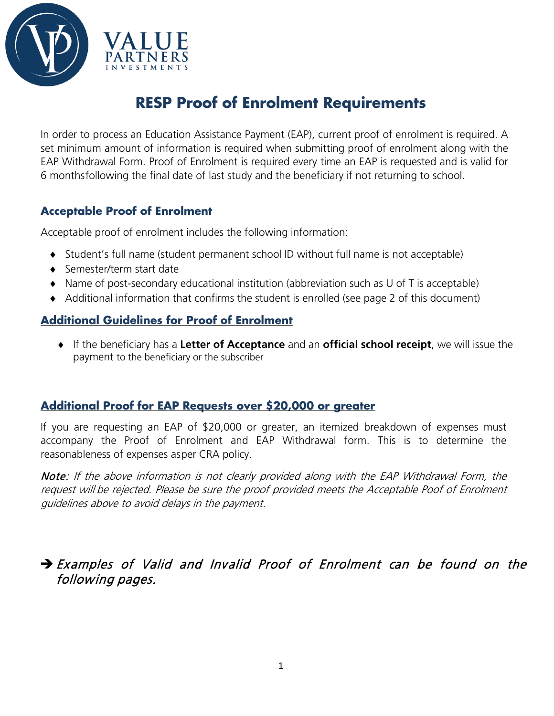

## **RESP Proof of Enrolment Requirements**

In order to process an Education Assistance Payment (EAP), current proof of enrolment is required. A set minimum amount of information is required when submitting proof of enrolment along with the EAP Withdrawal Form. Proof of Enrolment is required every time an EAP is requested and is valid for 6 monthsfollowing the final date of last study and the beneficiary if not returning to school.

## **Acceptable Proof of Enrolment**

Acceptable proof of enrolment includes the following information:

- ♦ Student's full name (student permanent school ID without full name is not acceptable)
- ♦ Semester/term start date
- ♦ Name of post-secondary educational institution (abbreviation such as U of T is acceptable)
- ♦ Additional information that confirms the student is enrolled (see page 2 of this document)

## **Additional Guidelines for Proof of Enrolment**

♦ If the beneficiary has a **Letter of Acceptance** and an **official school receipt**, we will issue the payment to the beneficiary or the subscriber

### **Additional Proof for EAP Requests over \$20,000 or greater**

If you are requesting an EAP of \$20,000 or greater, an itemized breakdown of expenses must accompany the Proof of Enrolment and EAP Withdrawal form. This is to determine the reasonableness of expenses asper CRA policy.

Note: If the above information is not clearly provided along with the EAP Withdrawal Form, the request will be rejected. Please be sure the proof provided meets the Acceptable Poof of Enrolment guidelines above to avoid delays in the payment.

## Examples of Valid and Invalid Proof of Enrolment can be found on the following pages.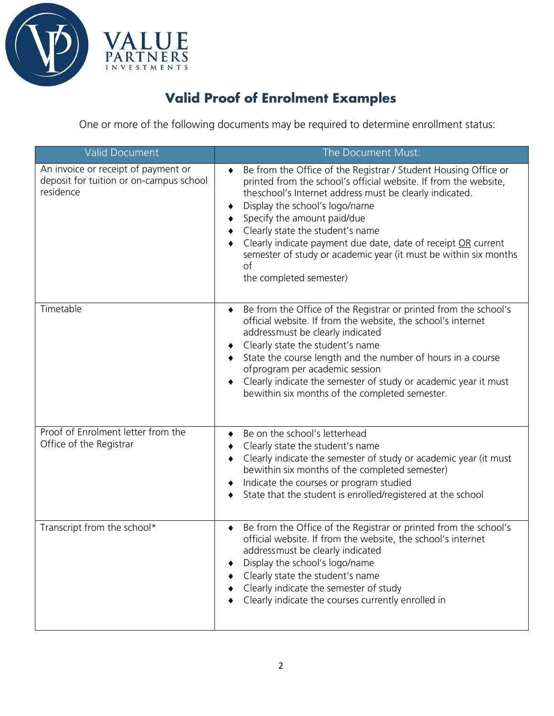

## **Valid Proof of Enrolment Examples**

One or more of the following documents may be required to determine enrollment status:

| Valid Document                                                                              | The Document Must:                                                                                                                                                                                                                                                                                                                                                                                                                                                        |
|---------------------------------------------------------------------------------------------|---------------------------------------------------------------------------------------------------------------------------------------------------------------------------------------------------------------------------------------------------------------------------------------------------------------------------------------------------------------------------------------------------------------------------------------------------------------------------|
| An invoice or receipt of payment or<br>deposit for tuition or on-campus school<br>residence | Be from the Office of the Registrar / Student Housing Office or<br>printed from the school's official website. If from the website,<br>theschool's Internet address must be clearly indicated.<br>Display the school's logo/name<br>Specify the amount paid/due<br>Clearly state the student's name<br>Clearly indicate payment due date, date of receipt OR current<br>semester of study or academic year (it must be within six months<br>of<br>the completed semester) |
| Timetable                                                                                   | Be from the Office of the Registrar or printed from the school's<br>$\blacklozenge$<br>official website. If from the website, the school's internet<br>addressmust be clearly indicated<br>Clearly state the student's name<br>State the course length and the number of hours in a course<br>of program per academic session<br>Clearly indicate the semester of study or academic year it must<br>bewithin six months of the completed semester.                        |
| Proof of Enrolment letter from the<br>Office of the Registrar                               | Be on the school's letterhead<br>٠<br>Clearly state the student's name<br>٠<br>Clearly indicate the semester of study or academic year (it must<br>bewithin six months of the completed semester)<br>Indicate the courses or program studied<br>٠<br>State that the student is enrolled/registered at the school                                                                                                                                                          |
| Transcript from the school*                                                                 | Be from the Office of the Registrar or printed from the school's<br>$\bullet$<br>official website. If from the website, the school's internet<br>addressmust be clearly indicated<br>Display the school's logo/name<br>Clearly state the student's name<br>Clearly indicate the semester of study<br>Clearly indicate the courses currently enrolled in                                                                                                                   |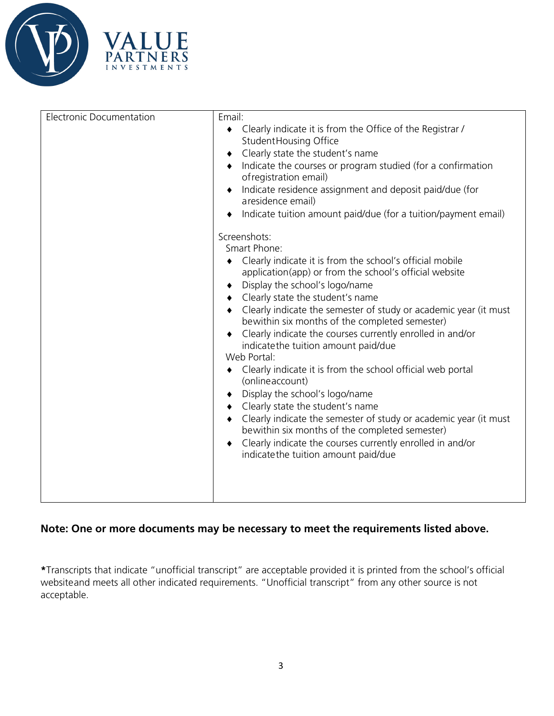



| <b>Electronic Documentation</b> | Email:<br>• Clearly indicate it is from the Office of the Registrar /<br>Student Housing Office<br>Clearly state the student's name<br>٠<br>Indicate the courses or program studied (for a confirmation<br>of registration email)<br>Indicate residence assignment and deposit paid/due (for<br>aresidence email)<br>Indicate tuition amount paid/due (for a tuition/payment email)<br>Screenshots:<br>Smart Phone:<br>Clearly indicate it is from the school's official mobile<br>application(app) or from the school's official website<br>Display the school's logo/name<br>Clearly state the student's name<br>• Clearly indicate the semester of study or academic year (it must<br>bewithin six months of the completed semester)<br>Clearly indicate the courses currently enrolled in and/or<br>indicatethe tuition amount paid/due<br>Web Portal:<br>Clearly indicate it is from the school official web portal<br>(onlineaccount)<br>Display the school's logo/name<br>Clearly state the student's name<br>$\bullet$<br>Clearly indicate the semester of study or academic year (it must<br>bewithin six months of the completed semester)<br>Clearly indicate the courses currently enrolled in and/or<br>indicatethe tuition amount paid/due |
|---------------------------------|----------------------------------------------------------------------------------------------------------------------------------------------------------------------------------------------------------------------------------------------------------------------------------------------------------------------------------------------------------------------------------------------------------------------------------------------------------------------------------------------------------------------------------------------------------------------------------------------------------------------------------------------------------------------------------------------------------------------------------------------------------------------------------------------------------------------------------------------------------------------------------------------------------------------------------------------------------------------------------------------------------------------------------------------------------------------------------------------------------------------------------------------------------------------------------------------------------------------------------------------------------|
|---------------------------------|----------------------------------------------------------------------------------------------------------------------------------------------------------------------------------------------------------------------------------------------------------------------------------------------------------------------------------------------------------------------------------------------------------------------------------------------------------------------------------------------------------------------------------------------------------------------------------------------------------------------------------------------------------------------------------------------------------------------------------------------------------------------------------------------------------------------------------------------------------------------------------------------------------------------------------------------------------------------------------------------------------------------------------------------------------------------------------------------------------------------------------------------------------------------------------------------------------------------------------------------------------|

### **Note: One or more documents may be necessary to meet the requirements listed above.**

**\***Transcripts that indicate "unofficial transcript" are acceptable provided it is printed from the school's official websiteand meets all other indicated requirements. "Unofficial transcript" from any other source is not acceptable.